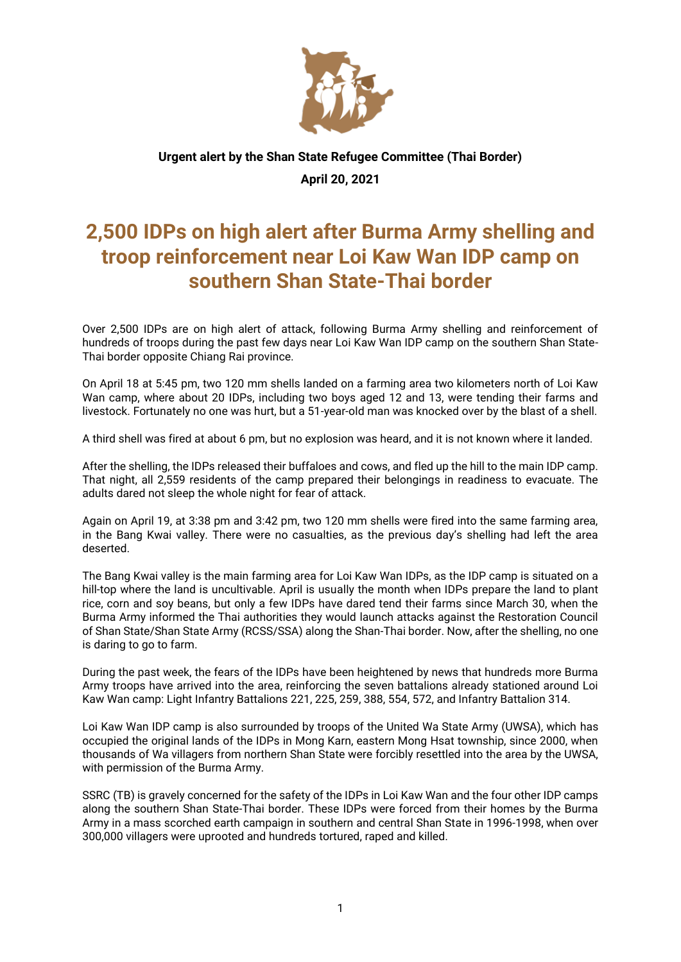

## **Urgent alert by the Shan State Refugee Committee (Thai Border) April 20, 2021**

## **2,500 IDPs on high alert after Burma Army shelling and troop reinforcement near Loi Kaw Wan IDP camp on southern Shan State-Thai border**

Over 2,500 IDPs are on high alert of attack, following Burma Army shelling and reinforcement of hundreds of troops during the past few days near Loi Kaw Wan IDP camp on the southern Shan State-Thai border opposite Chiang Rai province.

On April 18 at 5:45 pm, two 120 mm shells landed on a farming area two kilometers north of Loi Kaw Wan camp, where about 20 IDPs, including two boys aged 12 and 13, were tending their farms and livestock. Fortunately no one was hurt, but a 51-year-old man was knocked over by the blast of a shell.

A third shell was fired at about 6 pm, but no explosion was heard, and it is not known where it landed.

After the shelling, the IDPs released their buffaloes and cows, and fled up the hill to the main IDP camp. That night, all 2,559 residents of the camp prepared their belongings in readiness to evacuate. The adults dared not sleep the whole night for fear of attack.

Again on April 19, at 3:38 pm and 3:42 pm, two 120 mm shells were fired into the same farming area, in the Bang Kwai valley. There were no casualties, as the previous day's shelling had left the area deserted.

The Bang Kwai valley is the main farming area for Loi Kaw Wan IDPs, as the IDP camp is situated on a hill-top where the land is uncultivable. April is usually the month when IDPs prepare the land to plant rice, corn and soy beans, but only a few IDPs have dared tend their farms since March 30, when the Burma Army informed the Thai authorities they would launch attacks against the Restoration Council of Shan State/Shan State Army (RCSS/SSA) along the Shan-Thai border. Now, after the shelling, no one is daring to go to farm.

During the past week, the fears of the IDPs have been heightened by news that hundreds more Burma Army troops have arrived into the area, reinforcing the seven battalions already stationed around Loi Kaw Wan camp: Light Infantry Battalions 221, 225, 259, 388, 554, 572, and Infantry Battalion 314.

Loi Kaw Wan IDP camp is also surrounded by troops of the United Wa State Army (UWSA), which has occupied the original lands of the IDPs in Mong Karn, eastern Mong Hsat township, since 2000, when thousands of Wa villagers from northern Shan State were forcibly resettled into the area by the UWSA, with permission of the Burma Army.

SSRC (TB) is gravely concerned for the safety of the IDPs in Loi Kaw Wan and the four other IDP camps along the southern Shan State-Thai border. These IDPs were forced from their homes by the Burma Army in a mass scorched earth campaign in southern and central Shan State in 1996-1998, when over 300,000 villagers were uprooted and hundreds tortured, raped and killed.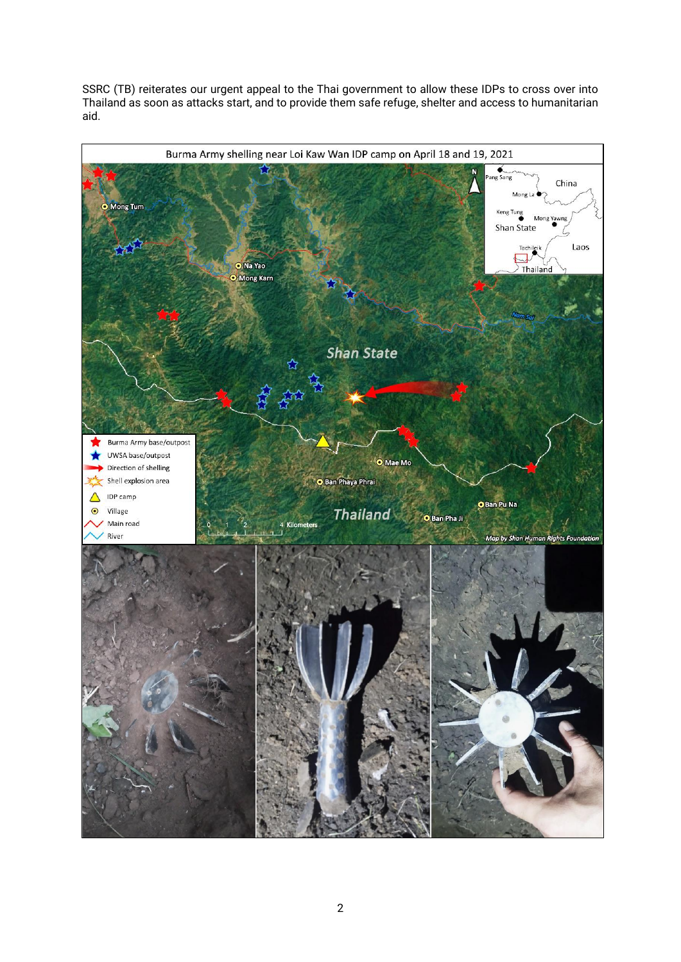SSRC (TB) reiterates our urgent appeal to the Thai government to allow these IDPs to cross over into Thailand as soon as attacks start, and to provide them safe refuge, shelter and access to humanitarian aid.